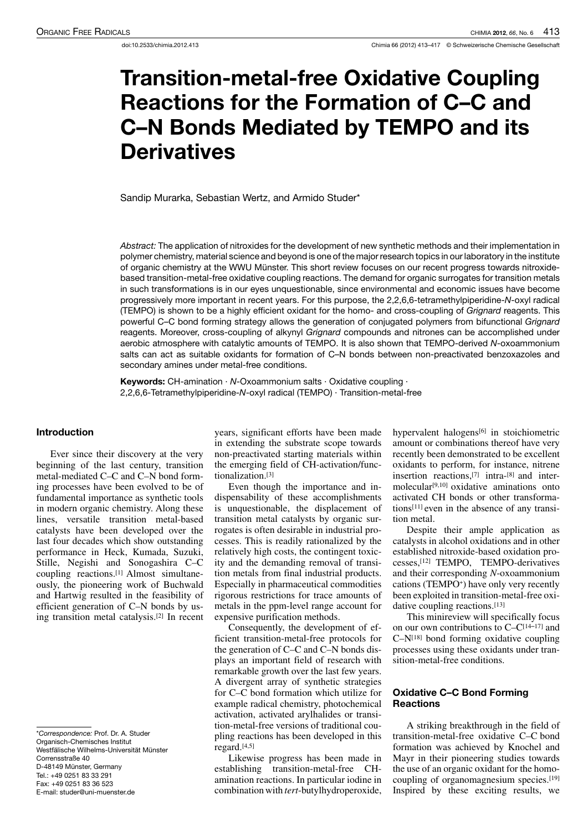# Transition-metal-free Oxidative Coupling Reactions for the Formation of C–C and C–N Bonds Mediated by TEMPO and its **Derivatives**

Sandip Murarka, Sebastian Wertz, and Armido Studer\*

Abstract: The application of nitroxides for the development of new synthetic methods and their implementation in polymer chemistry, material science and beyond is one of the major research topics in our laboratory in the institute of organic chemistry at the WWU Münster. This short review focuses on our recent progress towards nitroxidebased transition-metal-free oxidative coupling reactions. The demand for organic surrogates for transition metals in such transformations is in our eyes unquestionable, since environmental and economic issues have become progressively more important in recent years. For this purpose, the 2,2,6,6-tetramethylpiperidine-N-oxyl radical (TEMPO) is shown to be a highly efficient oxidant for the homo- and cross-coupling of Grignard reagents. This powerful C–C bond forming strategy allows the generation of conjugated polymers from bifunctional Grignard reagents. Moreover, cross-coupling of alkynyl Grignard compounds and nitrones can be accomplished under aerobic atmosphere with catalytic amounts of TEMPO. It is also shown that TEMPO-derived N-oxoammonium salts can act as suitable oxidants for formation of C–N bonds between non-preactivated benzoxazoles and secondary amines under metal-free conditions.

**Keywords:** CH-amination  $\cdot$  N-Oxoammonium salts  $\cdot$  Oxidative coupling  $\cdot$ 2,2,6,6-Tetramethylpiperidine-N-oxyl radical (TEMPO) · Transition-metal-free

# Introduction

Ever since their discovery at the very beginning of the last century, transition metal-mediated C–C and C–N bond forming processes have been evolved to be of fundamental importance as synthetic tools in modern organic chemistry. Along these lines, versatile transition metal-based catalysts have been developed over the last four decades which show outstanding performance in Heck, Kumada, Suzuki, Stille, Negishi and Sonogashira C–C coupling reactions.[1] Almost simultaneously, the pioneering work of Buchwald and Hartwig resulted in the feasibility of efficient generation of C–N bonds by using transition metal catalysis.[2] In recent years, significant efforts have been made in extending the substrate scope towards non-preactivated starting materials within the emerging field of CH-activation/functionalization.[3]

Even though the importance and indispensability of these accomplishments is unquestionable, the displacement of transition metal catalysts by organic surrogates is often desirable in industrial processes. This is readily rationalized by the relatively high costs, the contingent toxicity and the demanding removal of transition metals from final industrial products. Especially in pharmaceutical commodities rigorous restrictions for trace amounts of metals in the ppm-level range account for expensive purification methods.

Consequently, the development of efficient transition-metal-free protocols for the generation of C–C and C–N bonds displays an important field of research with remarkable growth over the last few years. A divergent array of synthetic strategies for C–C bond formation which utilize for example radical chemistry, photochemical activation, activated arylhalides or transition-metal-free versions of traditional coupling reactions has been developed in this regard.[4,5]

Likewise progress has been made in establishing transition-metal-free CHamination reactions. In particular iodine in combination with *tert*-butylhydroperoxide,

hypervalent halogens<sup>[6]</sup> in stoichiometric amount or combinations thereof have very recently been demonstrated to be excellent oxidants to perform, for instance, nitrene insertion reactions,[7] intra-[8] and intermolecular $[9,10]$  oxidative aminations onto activated CH bonds or other transformations[11] even in the absence of any transition metal.

Despite their ample application as catalysts in alcohol oxidations and in other established nitroxide-based oxidation processes,[12] TEMPO, TEMPO-derivatives and their corresponding *N*-oxoammonium cations (TEMPO<sup>+</sup>) have only very recently been exploited in transition-metal-free oxidative coupling reactions.<sup>[13]</sup>

This minireview will specifically focus on our own contributions to  $C-C^{[14-17]}$  and  $C-N<sup>[18]</sup>$  bond forming oxidative coupling processes using these oxidants under transition-metal-free conditions.

## Oxidative C–C Bond Forming **Reactions**

A striking breakthrough in the field of transition-metal-free oxidative C–C bond formation was achieved by Knochel and Mayr in their pioneering studies towards the use of an organic oxidant for the homocoupling of organomagnesium species.[19] Inspired by these exciting results, we

<sup>\*</sup>Correspondence: Prof. Dr. A. Studer Organisch-Chemisches Institut Westfälische Wilhelms-Universität Münster Corrensstraße 40 D-48149 Münster, Germany Tel.: +49 0251 83 33 291 Fax: +49 0251 83 36 523 E-mail: studer@uni-muenster.de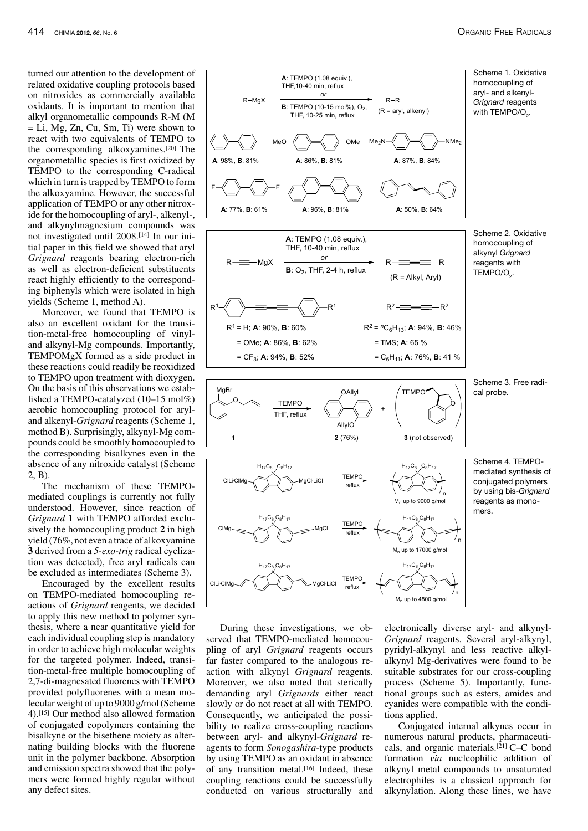turned our attention to the development of related oxidative coupling protocols based on nitroxides as commercially available oxidants. It is important to mention that alkyl organometallic compounds R-M (M = Li, Mg, Zn, Cu, Sm, Ti) were shown to react with two equivalents of TEMPO to the corresponding alkoxyamines.[20] The organometallic species is first oxidized by TEMPO to the corresponding C-radical which in turn is trapped by TEMPO to form the alkoxyamine. However, the successful application of TEMPO or any other nitroxide for the homocoupling of aryl-, alkenyl-, and alkynylmagnesium compounds was not investigated until 2008.[14] In our initial paper in this field we showed that aryl *Grignard* reagents bearing electron-rich as well as electron-deficient substituents react highly efficiently to the corresponding biphenyls which were isolated in high yields (Scheme 1, method A).

Moreover, we found that TEMPO is also an excellent oxidant for the transition-metal-free homocoupling of vinyland alkynyl-Mg compounds. Importantly, TEMPOMgX formed as a side product in these reactions could readily be reoxidized to TEMPO upon treatment with dioxygen. On the basis of this observations we established a TEMPO-catalyzed (10–15 mol%) aerobic homocoupling protocol for aryland alkenyl-*Grignard* reagents (Scheme 1, method B). Surprisingly, alkynyl-Mg compounds could be smoothly homocoupled to the corresponding bisalkynes even in the absence of any nitroxide catalyst (Scheme 2, B).

The mechanism of these TEMPOmediated couplings is currently not fully understood. However, since reaction of *Grignard* **1** with TEMPO afforded exclusively the homocoupling product **2** in high yield (76%, not even a trace of alkoxyamine **3** derived from a *5-exo-trig* radical cyclization was detected), free aryl radicals can be excluded as intermediates (Scheme 3).

Encouraged by the excellent results on TEMPO-mediated homocoupling reactions of *Grignard* reagents, we decided to apply this new method to polymer synthesis, where a near quantitative yield for each individual coupling step is mandatory in order to achieve high molecular weights for the targeted polymer. Indeed, transition-metal-free multiple homocoupling of 2,7-di-magnesated fluorenes with TEMPO provided polyfluorenes with a mean molecular weight of up to 9000 g/mol (Scheme 4).[15] Our method also allowed formation of conjugated copolymers containing the bisalkyne or the bisethene moiety as alternating building blocks with the fluorene unit in the polymer backbone. Absorption and emission spectra showed that the polymers were formed highly regular without any defect sites.



During these investigations, we observed that TEMPO-mediated homocoupling of aryl *Grignard* reagents occurs far faster compared to the analogous reaction with alkynyl *Grignard* reagents. Moreover, we also noted that sterically demanding aryl *Grignards* either react slowly or do not react at all with TEMPO. Consequently, we anticipated the possibility to realize cross-coupling reactions between aryl- and alkynyl-*Grignard* reagents to form *Sonogashira*-type products by using TEMPO as an oxidant in absence of any transition metal.[16] Indeed, these coupling reactions could be successfully conducted on various structurally and

electronically diverse aryl- and alkynyl-*Grignard* reagents. Several aryl-alkynyl, pyridyl-alkynyl and less reactive alkylalkynyl Mg-derivatives were found to be suitable substrates for our cross-coupling process (Scheme 5). Importantly, functional groups such as esters, amides and cyanides were compatible with the conditions applied.

Conjugated internal alkynes occur in numerous natural products, pharmaceuticals, and organic materials.[21] C–C bond formation *via* nucleophilic addition of alkynyl metal compounds to unsaturated electrophiles is a classical approach for alkynylation. Along these lines, we have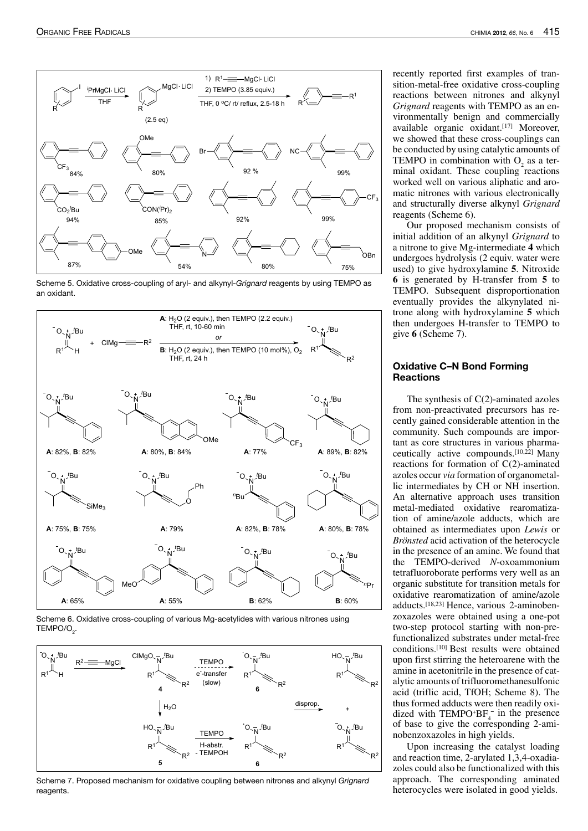

Scheme 5. Oxidative cross-coupling of aryl- and alkynyl-Grignard reagents by using TEMPO as an oxidant.



Scheme 6. Oxidative cross-coupling of various Mg-acetylides with various nitrones using  $\mathsf{TEMPO/O}_{2}$ .



Scheme 7. Proposed mechanism for oxidative coupling between nitrones and alkynyl Grignard reagents.

recently reported first examples of transition-metal-free oxidative cross-coupling reactions between nitrones and alkynyl *Grignard* reagents with TEMPO as an environmentally benign and commercially available organic oxidant.[17] Moreover, we showed that these cross-couplings can be conducted by using catalytic amounts of TEMPO in combination with  $O_2$  as a terminal oxidant. These coupling reactions worked well on various aliphatic and aromatic nitrones with various electronically and structurally diverse alkynyl *Grignard* reagents (Scheme 6).

Our proposed mechanism consists of initial addition of an alkynyl *Grignard* to a nitrone to give Mg-intermediate **4** which undergoes hydrolysis (2 equiv. water were used) to give hydroxylamine **5**. Nitroxide **6** is generated by H-transfer from **5** to TEMPO. Subsequent disproportionation eventually provides the alkynylated nitrone along with hydroxylamine **5** which then undergoes H-transfer to TEMPO to give **6** (Scheme 7).

### Oxidative C–N Bond Forming **Reactions**

The synthesis of C(2)-aminated azoles from non-preactivated precursors has recently gained considerable attention in the community. Such compounds are important as core structures in various pharmaceutically active compounds.[10,22] Many reactions for formation of C(2)-aminated azoles occur *via* formation of organometallic intermediates by CH or NH insertion. An alternative approach uses transition metal-mediated oxidative rearomatization of amine/azole adducts, which are obtained as intermediates upon *Lewis* or *Brönsted* acid activation of the heterocycle in the presence of an amine. We found that the TEMPO-derived *N*-oxoammonium tetrafluoroborate performs very well as an organic substitute for transition metals for oxidative rearomatization of amine/azole adducts.[18,23] Hence, various 2-aminobenzoxazoles were obtained using a one-pot two-step protocol starting with non-prefunctionalized substrates under metal-free conditions.[10] Best results were obtained upon first stirring the heteroarene with the amine in acetonitrile in the presence of catalytic amounts of trifluoromethanesulfonic acid (triflic acid, TfOH; Scheme 8). The thus formed adducts were then readily oxidized with TEMPO+B $F_4^-$  in the presence of base to give the corresponding 2-aminobenzoxazoles in high yields.

Upon increasing the catalyst loading and reaction time, 2-arylated 1,3,4-oxadiazoles could also be functionalized with this approach. The corresponding aminated heterocycles were isolated in good yields.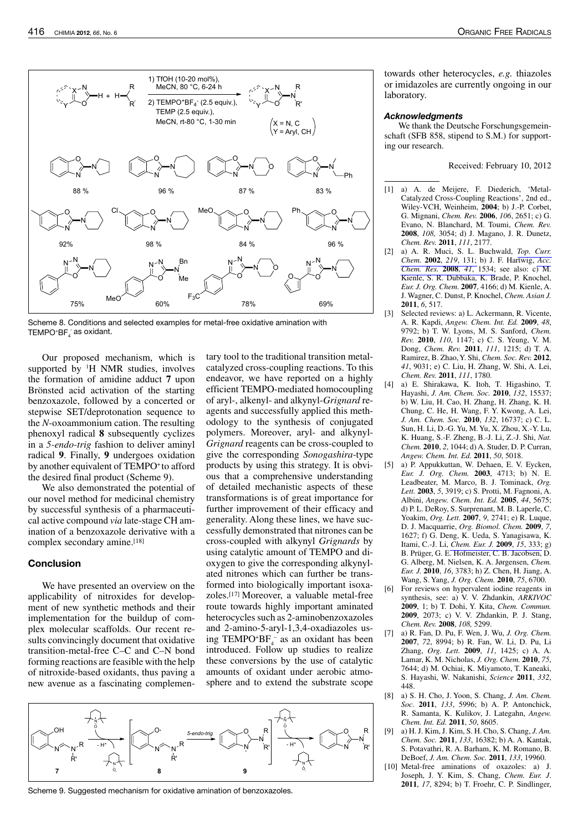

Scheme 8. Conditions and selected examples for metal-free oxidative amination with TEMPO+BF $_4^{\cdot}$  as oxidant.

Our proposed mechanism, which is supported by  ${}^{1}H$  NMR studies, involves the formation of amidine adduct **7** upon Brönsted acid activation of the starting benzoxazole, followed by a concerted or stepwise SET/deprotonation sequence to the *N*-oxoammonium cation. The resulting phenoxyl radical **8** subsequently cyclizes in a *5-endo-trig* fashion to deliver aminyl radical **9**. Finally, **9** undergoes oxidation by another equivalent of TEMPO<sup>+</sup> to afford the desired final product (Scheme 9).

We also demonstrated the potential of our novel method for medicinal chemistry by successful synthesis of a pharmaceutical active compound *via* late-stage CH amination of a benzoxazole derivative with a complex secondary amine.<sup>[18]</sup>

# Conclusion

We have presented an overview on the applicability of nitroxides for development of new synthetic methods and their implementation for the buildup of complex molecular scaffolds. Our recent results convincingly document that oxidative transition-metal-free C–C and C–N bond forming reactions are feasible with the help of nitroxide-based oxidants, thus paving a new avenue as a fascinating complementary tool to the traditional transition metalcatalyzed cross-coupling reactions. To this endeavor, we have reported on a highly efficient TEMPO-mediated homocoupling of aryl-, alkenyl- and alkynyl-*Grignard* reagents and successfully applied this methodology to the synthesis of conjugated polymers. Moreover, aryl- and alkynyl-*Grignard* reagents can be cross-coupled to give the corresponding *Sonogashira*-type products by using this strategy. It is obvious that a comprehensive understanding of detailed mechanistic aspects of these transformations is of great importance for further improvement of their efficacy and generality. Along these lines, we have successfully demonstrated that nitrones can be cross-coupled with alkynyl *Grignards* by using catalytic amount of TEMPO and dioxygen to give the corresponding alkynylated nitrones which can further be transformed into biologically important isoxazoles.[17] Moreover, a valuable metal-free route towards highly important aminated heterocycles such as 2-aminobenzoxazoles and 2-amino-5-aryl-1,3,4-oxadiazoles using TEMPO+ $BF_4^-$  as an oxidant has been introduced. Follow up studies to realize these conversions by the use of catalytic amounts of oxidant under aerobic atmosphere and to extend the substrate scope



Scheme 9. Suggested mechanism for oxidative amination of benzoxazoles.

towards other heterocycles, *e.g.* thiazoles or imidazoles are currently ongoing in our laboratory.

#### **Acknowledgments**

We thank the Deutsche Forschungsgemeinschaft (SFB 858, stipend to S.M.) for supporting our research.

Received: February 10, 2012

- [1] a) A. de Meijere, F. Diederich, 'Metal-Catalyzed Cross-Coupling Reactions', 2nd ed., Wiley-VCH, Weinheim, **2004**; b) J.-P. Corbet, G. Mignani, *Chem. Rev.* **2006**, *106*, 2651; c) G. Evano, N. Blanchard, M. Toumi, *Chem. Rev.* **2008**, *108,* 3054; d) J. Magano, J. R. Dunetz, *Chem. Rev.* **2011**, *111*, 2177.
- [2] a) A. R. Muci, S. L. Buchwald, *Top. Curr. Chem.* **2002**, *219*, 131; b) J. F. Hartwig, *Acc. Chem. Res.* **2008**, *41*, 1534; see also: c) M. Kienle, S. R. Dubbaka, K. Brade, P. Knochel, *Eur. J. Org. Chem.* **2007**, 4166; d) M. Kienle, A. J. Wagner, C. Dunst, P. Knochel, *Chem. Asian J.* **2011**, *6*, 517.
- [3] Selected reviews: a) L. Ackermann, R. Vicente, A. R. Kapdi, *Angew. Chem. Int. Ed.* **2009**, *48*, 9792; b) T. W. Lyons, M. S. Sanford, *Chem. Rev.* **2010**, *110*, 1147; c) C. S. Yeung, V. M. Dong, *Chem. Rev.* **2011**, *111*, 1215; d) T. A. Ramirez, B. Zhao,Y. Shi, *Chem. Soc. Rev.* **2012**, *41*, 9031; e) C. Liu, H. Zhang, W. Shi, A. Lei, *Chem. Rev.* **2011**, *111*, 1780.
- [4] a) E. Shirakawa, K. Itoh, T. Higashino, T. Hayashi, *J. Am. Chem. Soc.* **2010**, *132*, 15537; b) W. Liu, H. Cao, H. Zhang, H. Zhang, K. H. Chung, C. He, H. Wang, F. Y. Kwong, A. Lei, *J. Am. Chem. Soc.* **2010**, *132*, 16737; c) C. L. Sun, H. Li, D.-G.Yu, M.Yu, X. Zhou, X.-Y. Lu, K. Huang, S.-F. Zheng, B.-J. Li, Z.-J. Shi, *Nat. Chem.* **2010**, *2*, 1044; d) A. Studer, D. P. Curran, *Angew. Chem. Int. Ed.* **2011**, *50*, 5018.
- [5] a) P. Appukkuttan, W. Dehaen, E. V. Eycken, *Eur. J. Org. Chem.* **2003**, 4713; b) N. E. Leadbeater, M. Marco, B. J. Tominack, *Org. Lett.* **2003**, *5*, 3919; c) S. Protti, M. Fagnoni, A. Albini, *Angew. Chem. Int. Ed.* **2005**, *44*, 5675; d) P. L. DeRoy, S. Surprenant, M. B. Laperle, C. Yoakim, *Org. Lett.* **2007**, *9*, 2741; e) R. Luque, D. J. Macquarrie, *Org. Biomol. Chem.* **2009**, *7*, 1627; f) G. Deng, K. Ueda, S. Yanagisawa, K. Itami, C.-J. Li, *Chem. Eur. J.* **2009**, *15*, 333; g) B. Prüger, G. E. Hofmeister, C. B. Jacobsen, D. G. Alberg, M. Nielsen, K. A. Jørgensen, *Chem. Eur. J.* **2010**, *16*, 3783; h) Z. Chen, H. Jiang, A. Wang, S. Yang, *J. Org. Chem.* **2010**, *75*, 6700.
- [6] For reviews on hypervalent iodine reagents in synthesis, see: a) V. V. Zhdankin, *ARKIVOC* **2009**, 1; b) T. Dohi, Y. Kita, *Chem. Commun.* **2009**, 2073; c) V. V. Zhdankin, P. J. Stang, *Chem. Rev.* **2008**, *108,* 5299.
- [7] a) R. Fan, D. Pu, F. Wen, J. Wu, *J. Org. Chem.* **2007**, *72*, 8994; b) R. Fan, W. Li, D. Pu, Li Zhang, *Org. Lett.* **2009**, *11*, 1425; c) A. A. Lamar, K. M. Nicholas, *J. Org. Chem.* **2010**, *75*, 7644; d) M. Ochiai, K. Miyamoto, T. Kaneaki, S. Hayashi, W. Nakanishi, *Science* **2011**, *332*, 448.
- [8] a) S. H. Cho, J. Yoon, S. Chang, *J. Am. Chem. Soc.* **2011**, *133*, 5996; b) A. P. Antonchick, R. Samanta, K. Kulikov, J. Lategahn, *Angew. Chem. Int. Ed.* **2011**, *50*, 8605.
- [9] a) H. J. Kim, J. Kim, S. H. Cho, S. Chang, *J. Am. Chem. Soc.* **2011**, *133*, 16382; b) A. A. Kantak, S. Potavathri, R. A. Barham, K. M. Romano, B. DeBoef, *J. Am. Chem. Soc.* **2011**, *133*, 19960.
- [10] Metal-free aminations of oxazoles: a) J. Joseph, J. Y. Kim, S. Chang, *Chem. Eur. J*. **2011**, *17*, 8294; b) T. Froehr, C. P. Sindlinger,